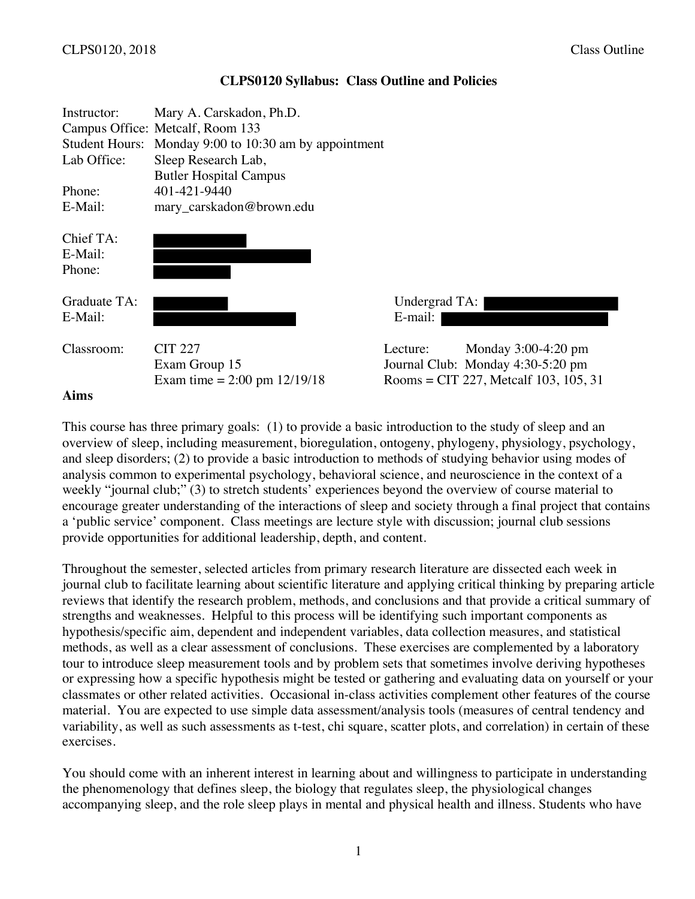| Instructor:<br>Lab Office:<br>Phone:<br>E-Mail: | Mary A. Carskadon, Ph.D.<br>Campus Office: Metcalf, Room 133<br>Student Hours: Monday 9:00 to 10:30 am by appointment<br>Sleep Research Lab,<br><b>Butler Hospital Campus</b><br>401-421-9440<br>mary_carskadon@brown.edu |                                                                                                                 |  |
|-------------------------------------------------|---------------------------------------------------------------------------------------------------------------------------------------------------------------------------------------------------------------------------|-----------------------------------------------------------------------------------------------------------------|--|
| Chief TA:<br>E-Mail:<br>Phone:                  |                                                                                                                                                                                                                           |                                                                                                                 |  |
| Graduate TA:<br>E-Mail:                         |                                                                                                                                                                                                                           | Undergrad TA:<br>E-mail:                                                                                        |  |
| Classroom:<br>Aims                              | <b>CIT 227</b><br>Exam Group 15<br>Exam time = $2:00 \text{ pm } 12/19/18$                                                                                                                                                | Monday $3:00-4:20$ pm<br>Lecture:<br>Journal Club: Monday 4:30-5:20 pm<br>Rooms = CIT 227, Metcalf 103, 105, 31 |  |

#### **CLPS0120 Syllabus: Class Outline and Policies**

This course has three primary goals: (1) to provide a basic introduction to the study of sleep and an overview of sleep, including measurement, bioregulation, ontogeny, phylogeny, physiology, psychology, and sleep disorders; (2) to provide a basic introduction to methods of studying behavior using modes of analysis common to experimental psychology, behavioral science, and neuroscience in the context of a weekly "journal club;" (3) to stretch students' experiences beyond the overview of course material to encourage greater understanding of the interactions of sleep and society through a final project that contains a 'public service' component. Class meetings are lecture style with discussion; journal club sessions provide opportunities for additional leadership, depth, and content.

Throughout the semester, selected articles from primary research literature are dissected each week in journal club to facilitate learning about scientific literature and applying critical thinking by preparing article reviews that identify the research problem, methods, and conclusions and that provide a critical summary of strengths and weaknesses. Helpful to this process will be identifying such important components as hypothesis/specific aim, dependent and independent variables, data collection measures, and statistical methods, as well as a clear assessment of conclusions. These exercises are complemented by a laboratory tour to introduce sleep measurement tools and by problem sets that sometimes involve deriving hypotheses or expressing how a specific hypothesis might be tested or gathering and evaluating data on yourself or your classmates or other related activities. Occasional in-class activities complement other features of the course material. You are expected to use simple data assessment/analysis tools (measures of central tendency and variability, as well as such assessments as t-test, chi square, scatter plots, and correlation) in certain of these exercises.

You should come with an inherent interest in learning about and willingness to participate in understanding the phenomenology that defines sleep, the biology that regulates sleep, the physiological changes accompanying sleep, and the role sleep plays in mental and physical health and illness. Students who have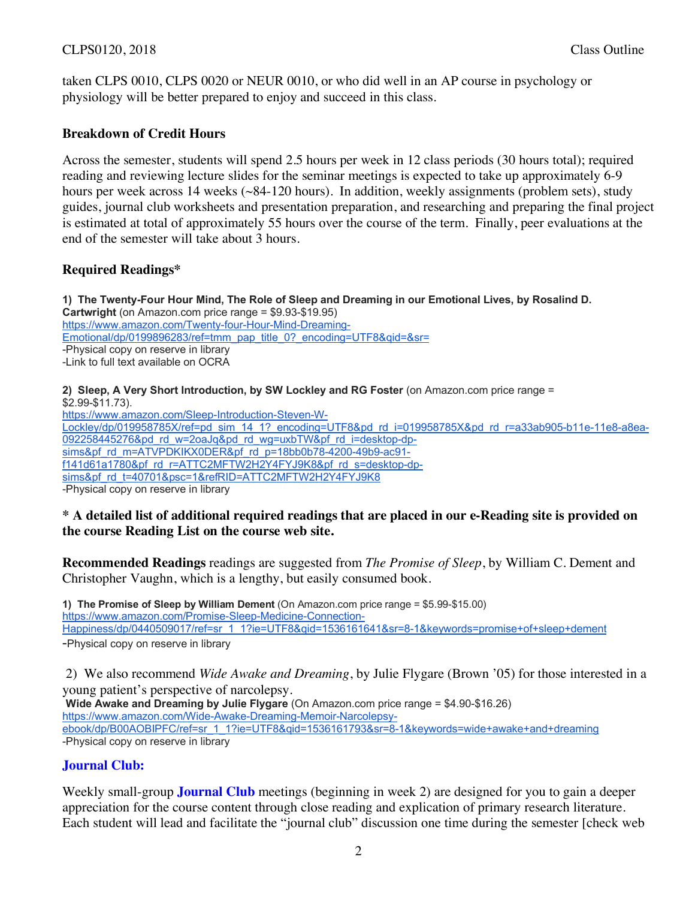## CLPS0120, 2018 Class Outline

taken CLPS 0010, CLPS 0020 or NEUR 0010, or who did well in an AP course in psychology or physiology will be better prepared to enjoy and succeed in this class.

## **Breakdown of Credit Hours**

Across the semester, students will spend 2.5 hours per week in 12 class periods (30 hours total); required reading and reviewing lecture slides for the seminar meetings is expected to take up approximately 6-9 hours per week across 14 weeks (~84-120 hours). In addition, weekly assignments (problem sets), study guides, journal club worksheets and presentation preparation, and researching and preparing the final project is estimated at total of approximately 55 hours over the course of the term. Finally, peer evaluations at the end of the semester will take about 3 hours.

## **Required Readings\***

**1) The Twenty-Four Hour Mind, The Role of Sleep and Dreaming in our Emotional Lives, by Rosalind D. Cartwright** (on Amazon.com price range = \$9.93-\$19.95) https://www.amazon.com/Twenty-four-Hour-Mind-Dreaming-Emotional/dp/0199896283/ref=tmm\_pap\_title\_0?\_encoding=UTF8&qid=&sr= -Physical copy on reserve in library -Link to full text available on OCRA

**2) Sleep, A Very Short Introduction, by SW Lockley and RG Foster** (on Amazon.com price range = \$2.99-\$11.73). https://www.amazon.com/Sleep-Introduction-Steven-W-Lockley/dp/019958785X/ref=pd\_sim\_14\_1?\_encoding=UTF8&pd\_rd\_i=019958785X&pd\_rd\_r=a33ab905-b11e-11e8-a8ea-092258445276&pd rd w=2oaJq&pd rd wg=uxbTW&pf rd i=desktop-dpsims&pf\_rd\_m=ATVPDKIKX0DER&pf\_rd\_p=18bb0b78-4200-49b9-ac91f141d61a1780&pf\_rd\_r=ATTC2MFTW2H2Y4FYJ9K8&pf\_rd\_s=desktop-dpsims&pf\_rd\_t=40701&psc=1&refRID=ATTC2MFTW2H2Y4FYJ9K8 -Physical copy on reserve in library

#### **\* A detailed list of additional required readings that are placed in our e-Reading site is provided on the course Reading List on the course web site.**

**Recommended Readings** readings are suggested from *The Promise of Sleep*, by William C. Dement and Christopher Vaughn, which is a lengthy, but easily consumed book.

**1) The Promise of Sleep by William Dement** (On Amazon.com price range = \$5.99-\$15.00) https://www.amazon.com/Promise-Sleep-Medicine-Connection-Happiness/dp/0440509017/ref=sr\_1\_1?ie=UTF8&qid=1536161641&sr=8-1&keywords=promise+of+sleep+dement -Physical copy on reserve in library

2) We also recommend *Wide Awake and Dreaming*, by Julie Flygare (Brown '05) for those interested in a young patient's perspective of narcolepsy.

**Wide Awake and Dreaming by Julie Flygare** (On Amazon.com price range = \$4.90-\$16.26) https://www.amazon.com/Wide-Awake-Dreaming-Memoir-Narcolepsyebook/dp/B00AOBIPFC/ref=sr\_1\_1?ie=UTF8&qid=1536161793&sr=8-1&keywords=wide+awake+and+dreaming -Physical copy on reserve in library

# **Journal Club:**

Weekly small-group **Journal Club** meetings (beginning in week 2) are designed for you to gain a deeper appreciation for the course content through close reading and explication of primary research literature. Each student will lead and facilitate the "journal club" discussion one time during the semester [check web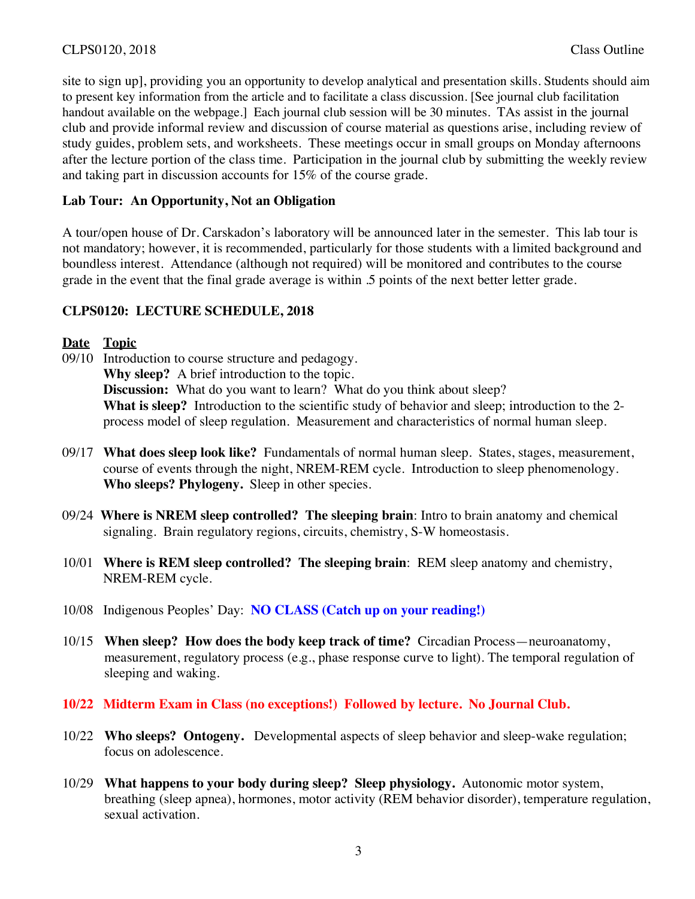site to sign up], providing you an opportunity to develop analytical and presentation skills. Students should aim to present key information from the article and to facilitate a class discussion. [See journal club facilitation handout available on the webpage.] Each journal club session will be 30 minutes. TAs assist in the journal club and provide informal review and discussion of course material as questions arise, including review of study guides, problem sets, and worksheets. These meetings occur in small groups on Monday afternoons after the lecture portion of the class time. Participation in the journal club by submitting the weekly review and taking part in discussion accounts for 15% of the course grade.

## **Lab Tour: An Opportunity, Not an Obligation**

A tour/open house of Dr. Carskadon's laboratory will be announced later in the semester. This lab tour is not mandatory; however, it is recommended, particularly for those students with a limited background and boundless interest. Attendance (although not required) will be monitored and contributes to the course grade in the event that the final grade average is within .5 points of the next better letter grade.

## **CLPS0120: LECTURE SCHEDULE, 2018**

### **Date Topic**

- 09/10 Introduction to course structure and pedagogy. **Why sleep?** A brief introduction to the topic. **Discussion:** What do you want to learn? What do you think about sleep? What is sleep? Introduction to the scientific study of behavior and sleep; introduction to the 2process model of sleep regulation. Measurement and characteristics of normal human sleep.
- 09/17 **What does sleep look like?** Fundamentals of normal human sleep. States, stages, measurement, course of events through the night, NREM-REM cycle. Introduction to sleep phenomenology. **Who sleeps? Phylogeny.** Sleep in other species.
- 09/24 **Where is NREM sleep controlled? The sleeping brain**: Intro to brain anatomy and chemical signaling. Brain regulatory regions, circuits, chemistry, S-W homeostasis.
- 10/01 **Where is REM sleep controlled? The sleeping brain**: REM sleep anatomy and chemistry, NREM-REM cycle.
- 10/08 Indigenous Peoples' Day: **NO CLASS (Catch up on your reading!)**
- 10/15 **When sleep? How does the body keep track of time?** Circadian Process—neuroanatomy, measurement, regulatory process (e.g., phase response curve to light). The temporal regulation of sleeping and waking.
- **10/22 Midterm Exam in Class (no exceptions!) Followed by lecture. No Journal Club.**
- 10/22 **Who sleeps? Ontogeny.** Developmental aspects of sleep behavior and sleep-wake regulation; focus on adolescence.
- 10/29 **What happens to your body during sleep? Sleep physiology.** Autonomic motor system, breathing (sleep apnea), hormones, motor activity (REM behavior disorder), temperature regulation, sexual activation.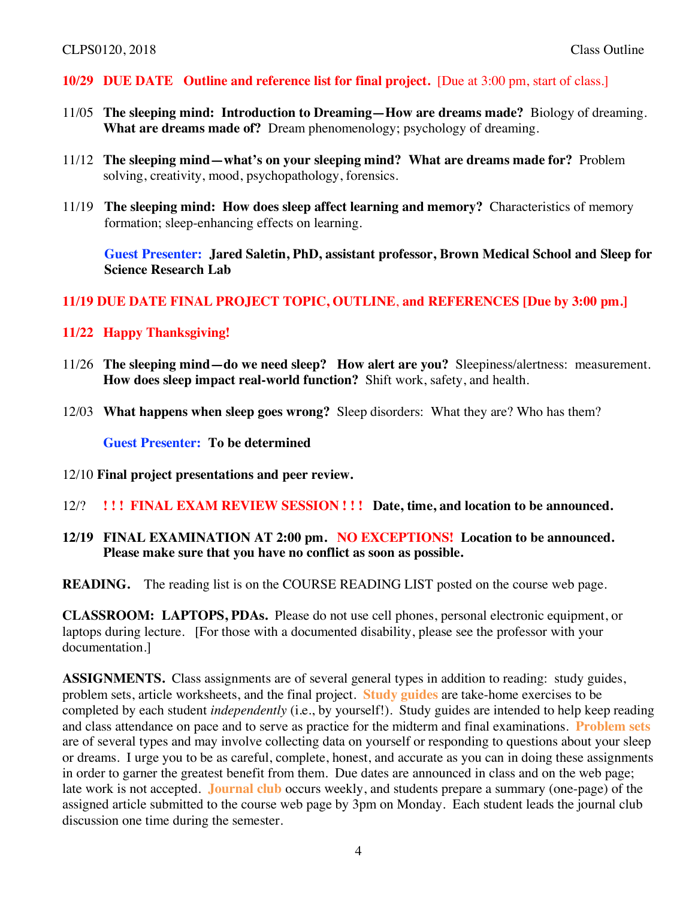#### **10/29 DUE DATE Outline and reference list for final project.** [Due at 3:00 pm, start of class.]

- 11/05 **The sleeping mind: Introduction to Dreaming—How are dreams made?** Biology of dreaming. **What are dreams made of?** Dream phenomenology; psychology of dreaming.
- 11/12 **The sleeping mind—what's on your sleeping mind? What are dreams made for?** Problem solving, creativity, mood, psychopathology, forensics.
- 11/19 **The sleeping mind: How does sleep affect learning and memory?** Characteristics of memory formation; sleep-enhancing effects on learning.

**Guest Presenter: Jared Saletin, PhD, assistant professor, Brown Medical School and Sleep for Science Research Lab**

#### **11/19 DUE DATE FINAL PROJECT TOPIC, OUTLINE**, **and REFERENCES [Due by 3:00 pm.]**

### **11/22 Happy Thanksgiving!**

- 11/26 **The sleeping mind—do we need sleep? How alert are you?** Sleepiness/alertness: measurement. **How does sleep impact real-world function?**Shift work, safety, and health.
- 12/03 **What happens when sleep goes wrong?** Sleep disorders: What they are? Who has them?

**Guest Presenter: To be determined**

- 12/10 **Final project presentations and peer review.**
- 12/? **! ! ! FINAL EXAM REVIEW SESSION ! ! ! Date, time, and location to be announced.**
- **12/19 FINAL EXAMINATION AT 2:00 pm. NO EXCEPTIONS! Location to be announced. Please make sure that you have no conflict as soon as possible.**

**READING.** The reading list is on the COURSE READING LIST posted on the course web page.

**CLASSROOM: LAPTOPS, PDAs.** Please do not use cell phones, personal electronic equipment, or laptops during lecture. [For those with a documented disability, please see the professor with your documentation.]

**ASSIGNMENTS.** Class assignments are of several general types in addition to reading: study guides, problem sets, article worksheets, and the final project. **Study guides** are take-home exercises to be completed by each student *independently* (i.e., by yourself!). Study guides are intended to help keep reading and class attendance on pace and to serve as practice for the midterm and final examinations. **Problem sets** are of several types and may involve collecting data on yourself or responding to questions about your sleep or dreams. I urge you to be as careful, complete, honest, and accurate as you can in doing these assignments in order to garner the greatest benefit from them. Due dates are announced in class and on the web page; late work is not accepted. **Journal club** occurs weekly, and students prepare a summary (one-page) of the assigned article submitted to the course web page by 3pm on Monday. Each student leads the journal club discussion one time during the semester.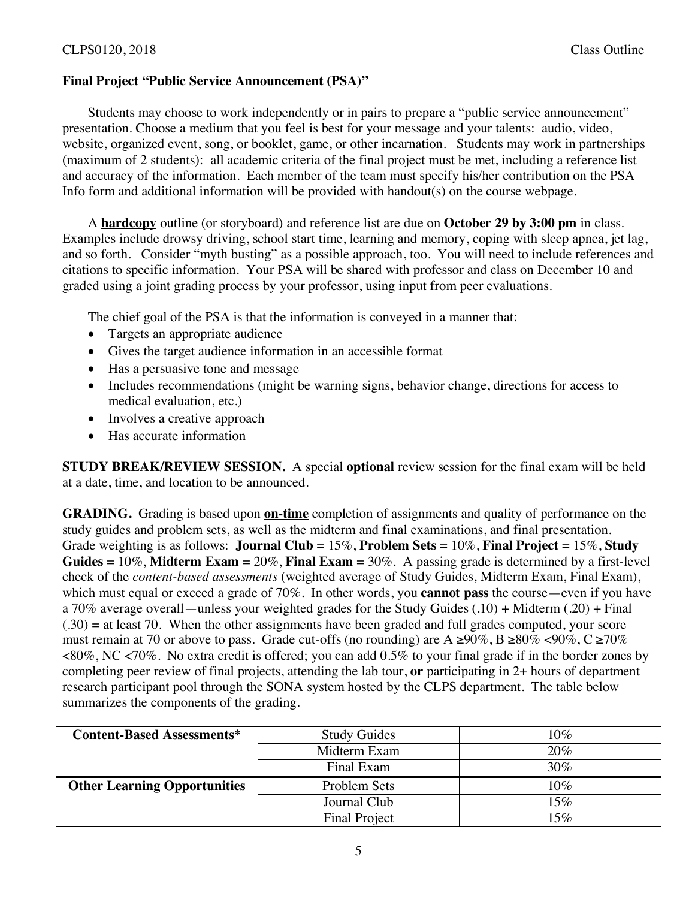#### **Final Project "Public Service Announcement (PSA)"**

Students may choose to work independently or in pairs to prepare a "public service announcement" presentation. Choose a medium that you feel is best for your message and your talents: audio, video, website, organized event, song, or booklet, game, or other incarnation. Students may work in partnerships (maximum of 2 students): all academic criteria of the final project must be met, including a reference list and accuracy of the information. Each member of the team must specify his/her contribution on the PSA Info form and additional information will be provided with handout(s) on the course webpage.

A **hardcopy** outline (or storyboard) and reference list are due on **October 29 by 3:00 pm** in class. Examples include drowsy driving, school start time, learning and memory, coping with sleep apnea, jet lag, and so forth. Consider "myth busting" as a possible approach, too. You will need to include references and citations to specific information. Your PSA will be shared with professor and class on December 10 and graded using a joint grading process by your professor, using input from peer evaluations.

The chief goal of the PSA is that the information is conveyed in a manner that:

- Targets an appropriate audience
- Gives the target audience information in an accessible format
- Has a persuasive tone and message
- Includes recommendations (might be warning signs, behavior change, directions for access to medical evaluation, etc.)
- Involves a creative approach
- Has accurate information

**STUDY BREAK/REVIEW SESSION.** A special **optional** review session for the final exam will be held at a date, time, and location to be announced.

**GRADING.** Grading is based upon **on-time** completion of assignments and quality of performance on the study guides and problem sets, as well as the midterm and final examinations, and final presentation. Grade weighting is as follows: **Journal Club** = 15%, **Problem Sets** = 10%, **Final Project** = 15%, **Study Guides** = 10%, **Midterm Exam** = 20%, **Final Exam** = 30%. A passing grade is determined by a first-level check of the *content-based assessments* (weighted average of Study Guides, Midterm Exam, Final Exam), which must equal or exceed a grade of 70%. In other words, you **cannot pass** the course—even if you have a 70% average overall—unless your weighted grades for the Study Guides (.10) + Midterm (.20) + Final  $(.30)$  = at least 70. When the other assignments have been graded and full grades computed, your score must remain at 70 or above to pass. Grade cut-offs (no rounding) are A  $\geq 90\%$ , B  $\geq 80\%$  <90%, C  $\geq 70\%$ <80%, NC <70%. No extra credit is offered; you can add 0.5% to your final grade if in the border zones by completing peer review of final projects, attending the lab tour, **or** participating in 2+ hours of department research participant pool through the SONA system hosted by the CLPS department. The table below summarizes the components of the grading.

| <b>Content-Based Assessments*</b>   | <b>Study Guides</b> | 10% |
|-------------------------------------|---------------------|-----|
|                                     | Midterm Exam        | 20% |
|                                     | Final Exam          | 30% |
| <b>Other Learning Opportunities</b> | Problem Sets        | 10% |
|                                     | Journal Club        | 15% |
|                                     | Final Project       | 15% |